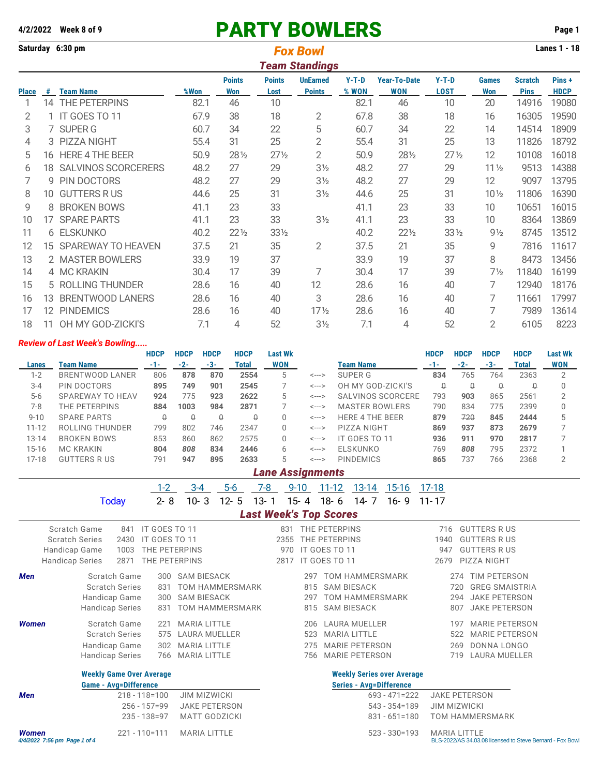## **4/2/2022 Week 8 of 9** PARTY BOWLERS **Page 1**

| Saturday 6:30 pm |    |                            |      | <b>Lanes 1 - 18</b> |                 |                       |         |                     |                 |                 |                |             |
|------------------|----|----------------------------|------|---------------------|-----------------|-----------------------|---------|---------------------|-----------------|-----------------|----------------|-------------|
|                  |    |                            |      |                     |                 | <b>Team Standings</b> |         |                     |                 |                 |                |             |
|                  |    |                            |      | <b>Points</b>       | <b>Points</b>   | <b>UnEarned</b>       | $Y-T-D$ | <b>Year-To-Date</b> | $Y-T-D$         | <b>Games</b>    | <b>Scratch</b> | Pins +      |
| <b>Place</b>     | #  | <b>Team Name</b>           | %Won | <b>Won</b>          | Lost            | <b>Points</b>         | % WON   | <b>WON</b>          | <b>LOST</b>     | <b>Won</b>      | <b>Pins</b>    | <b>HDCP</b> |
|                  | 14 | THE PETERPINS              | 82.1 | 46                  | 10              |                       | 82.1    | 46                  | 10              | 20              | 14916          | 19080       |
| 2                |    | IT GOES TO 11              | 67.9 | 38                  | 18              | 2                     | 67.8    | 38                  | 18              | 16              | 16305          | 19590       |
| 3                |    | 7 SUPER G                  | 60.7 | 34                  | 22              | 5                     | 60.7    | 34                  | 22              | 14              | 14514          | 18909       |
| 4                | 3  | <b>PIZZA NIGHT</b>         | 55.4 | 31                  | 25              | $\overline{2}$        | 55.4    | 31                  | 25              | 13              | 11826          | 18792       |
| 5                | 16 | <b>HERE 4 THE BEER</b>     | 50.9 | 28 1/2              | $27\frac{1}{2}$ | $\overline{2}$        | 50.9    | 281/2               | $27\frac{1}{2}$ | 12              | 10108          | 16018       |
| 6                | 18 | <b>SALVINOS SCORCERERS</b> | 48.2 | 27                  | 29              | $3\frac{1}{2}$        | 48.2    | 27                  | 29              | $11\frac{1}{2}$ | 9513           | 14388       |
| 7                | 9  | PIN DOCTORS                | 48.2 | 27                  | 29              | 3 <sub>2</sub>        | 48.2    | 27                  | 29              | 12              | 9097           | 13795       |
| 8                | 10 | <b>GUTTERS RUS</b>         | 44.6 | 25                  | 31              | 3 <sub>2</sub>        | 44.6    | 25                  | 31              | 10 <sub>2</sub> | 11806          | 16390       |
| 9                | 8  | <b>BROKEN BOWS</b>         | 41.1 | 23                  | 33              |                       | 41.1    | 23                  | 33              | 10              | 10651          | 16015       |
| 10               | 17 | <b>SPARE PARTS</b>         | 41.1 | 23                  | 33              | 3 <sub>2</sub>        | 41.1    | 23                  | 33              | 10              | 8364           | 13869       |
| 11               |    | 6 ELSKUNKO                 | 40.2 | $22\frac{1}{2}$     | 331/2           |                       | 40.2    | $22\frac{1}{2}$     | $33\frac{1}{2}$ | $9\frac{1}{2}$  | 8745           | 13512       |
| 12               | 15 | SPAREWAY TO HEAVEN         | 37.5 | 21                  | 35              | 2                     | 37.5    | 21                  | 35              | 9               | 7816           | 11617       |
| 13               |    | 2 MASTER BOWLERS           | 33.9 | 19                  | 37              |                       | 33.9    | 19                  | 37              | 8               | 8473           | 13456       |
| 14               |    | 4 MC KRAKIN                | 30.4 | 17                  | 39              | 7                     | 30.4    | 17                  | 39              | $7\frac{1}{2}$  | 11840          | 16199       |
| 15               |    | 5 ROLLING THUNDER          | 28.6 | 16                  | 40              | 12                    | 28.6    | 16                  | 40              | 7               | 12940          | 18176       |
| 16               | 13 | <b>BRENTWOOD LANERS</b>    | 28.6 | 16                  | 40              | 3                     | 28.6    | 16                  | 40              | 7               | 11661          | 17997       |
| 17               | 12 | <b>PINDEMICS</b>           | 28.6 | 16                  | 40              | $17\frac{1}{2}$       | 28.6    | 16                  | 40              | 7               | 7989           | 13614       |
| 18               | 11 | OH MY GOD-ZICKI'S          | 7.1  | 4                   | 52              | $3\frac{1}{2}$        | 7.1     | 4                   | 52              | 2               | 6105           | 8223        |

## *Review of Last Week's Bowling.....*

|           |                        | <b>HDCP</b> | <b>HDCP</b> | <b>HDCP</b> | <b>HDCP</b> | Last Wk    |                            |                        | <b>HDCP</b> | <b>HDCP</b> | <b>HDCP</b> | <b>HDCP</b> | <b>Last Wk</b> |
|-----------|------------------------|-------------|-------------|-------------|-------------|------------|----------------------------|------------------------|-------------|-------------|-------------|-------------|----------------|
| Lanes     | Team Name              | -1-         | $-2-$       | -3-         | Total       | <b>WON</b> |                            | Team Name              | $-1-$       | $-2-$       | $-3-$       | Total       | <b>WON</b>     |
| $1-2$     | <b>BRENTWOOD LANER</b> | 806         | 878         | 870         | 2554        | 5          | <--->                      | SUPER G                | 834         | 765         | 764         | 2363        |                |
| $3 - 4$   | PIN DOCTORS            | 895         | 749         | 901         | 2545        |            | $\leftarrow$ $\rightarrow$ | OH MY GOD-ZICKI'S      | Q           | Q           | Q           | Q           |                |
| $5 - 6$   | SPAREWAY TO HEAV       | 924         | 775         | 923         | 2622        | 5          | <--->                      | SALVINOS SCORCERE      | 793         | 903         | 865         | 2561        |                |
| $7-8$     | THE PETERPINS          | 884         | 1003        | 984         | 2871        |            | $\leftarrow$ --->          | <b>MASTER BOWLERS</b>  | 790         | 834         | 775         | 2399        |                |
| $9 - 10$  | <b>SPARE PARTS</b>     | Û           | Q           | Q           | Q           | O          | $\leftarrow$ $\rightarrow$ | <b>HERE 4 THE BEER</b> | 879         | 720         | 845         | 2444        |                |
| $11 - 12$ | ROLLING THUNDER        | 799         | 802         | 746         | 2347        | 0          | $\leftarrow$ $\rightarrow$ | PIZZA NIGHT            | 869         | 937         | 873         | 2679        |                |
| $13 - 14$ | <b>BROKEN BOWS</b>     | 853         | 860         | 862         | 2575        | 0          | $\leftarrow$ $\rightarrow$ | IT GOES TO 11          | 936         | 911         | 970         | 2817        |                |
| $15 - 16$ | <b>MC KRAKIN</b>       | 804         | 808         | 834         | 2446        | 6          | $\leftarrow$ $\rightarrow$ | ELSKUNKO               | 769         | 808         | 795         | 2372        |                |
| $17 - 18$ | <b>GUTTERS R US</b>    | 791         | 947         | 895         | 2633        | 5          | <--->                      | <b>PINDEMICS</b>       | 865         | 737         | 766         | 2368        |                |

| <b>Lane Assignments</b> |  |  |
|-------------------------|--|--|
|                         |  |  |
|                         |  |  |
|                         |  |  |

|                                              |                                 | $1-2$             | $3 - 4$                | $5-6$    | 7-8      | $9 - 10$ |     | $11 - 12$                     | $13 - 14$              | <u>15-16</u>                      | $17 - 18$            |                                                          |
|----------------------------------------------|---------------------------------|-------------------|------------------------|----------|----------|----------|-----|-------------------------------|------------------------|-----------------------------------|----------------------|----------------------------------------------------------|
|                                              | <b>Today</b>                    | $2 - 8$           | $10 - 3$               | $12 - 5$ | $13 - 1$ | $15 - 4$ |     | $18 - 6$                      | $14 - 7$               | $16 - 9$                          | $11 - 17$            |                                                          |
|                                              |                                 |                   |                        |          |          |          |     | <b>Last Week's Top Scores</b> |                        |                                   |                      |                                                          |
|                                              | Scratch Game<br>841             | IT GOES TO 11     |                        |          |          | 831      |     | THE PETERPINS                 |                        |                                   | 716                  | <b>GUTTERS RUS</b>                                       |
|                                              | <b>Scratch Series</b><br>2430   | IT GOES TO 11     |                        |          |          | 2355     |     | THE PETERPINS                 |                        |                                   | 1940                 | <b>GUTTERS R US</b>                                      |
| Handicap Game                                | 1003                            | THE PETERPINS     |                        |          |          | 970      |     | IT GOES TO 11                 |                        |                                   | 947                  | <b>GUTTERS RUS</b>                                       |
| <b>Handicap Series</b>                       | 2871                            | THE PETERPINS     |                        |          |          | 2817     |     | IT GOES TO 11                 |                        |                                   | 2679                 | PIZZA NIGHT                                              |
| <b>Men</b>                                   | Scratch Game                    | 300               | <b>SAM BIESACK</b>     |          |          |          | 297 |                               | <b>TOM HAMMERSMARK</b> |                                   | 274                  | TIM PETERSON                                             |
|                                              | <b>Scratch Series</b>           | 831               | <b>TOM HAMMERSMARK</b> |          |          |          | 815 |                               | <b>SAM BIESACK</b>     |                                   | 720                  | <b>GREG SMAISTRIA</b>                                    |
|                                              | Handicap Game                   | 300               | <b>SAM BIESACK</b>     |          |          |          | 297 |                               | <b>TOM HAMMERSMARK</b> |                                   | 294                  | <b>JAKE PETERSON</b>                                     |
|                                              | Handicap Series                 | 831               | TOM HAMMERSMARK        |          |          |          | 815 |                               | <b>SAM BIESACK</b>     |                                   | 807                  | <b>JAKE PETERSON</b>                                     |
| <b>Women</b>                                 | Scratch Game                    | 221               | <b>MARIA LITTLE</b>    |          |          |          | 206 |                               | <b>LAURA MUELLER</b>   |                                   | 197                  | <b>MARIE PETERSON</b>                                    |
|                                              | <b>Scratch Series</b>           | 575               | <b>LAURA MUELLER</b>   |          |          |          | 523 |                               | <b>MARIA LITTLE</b>    |                                   | 522                  | <b>MARIE PETERSON</b>                                    |
|                                              | Handicap Game                   | 302               | <b>MARIA LITTLE</b>    |          |          |          | 275 |                               | <b>MARIE PETERSON</b>  |                                   | 269                  | DONNA LONGO                                              |
|                                              | <b>Handicap Series</b>          | 766               | <b>MARIA LITTLE</b>    |          |          |          | 756 |                               | <b>MARIE PETERSON</b>  |                                   | 719                  | <b>LAURA MUELLER</b>                                     |
|                                              | <b>Weekly Game Over Average</b> |                   |                        |          |          |          |     |                               |                        | <b>Weekly Series over Average</b> |                      |                                                          |
|                                              | <b>Game - Avg=Difference</b>    |                   |                        |          |          |          |     |                               |                        | <b>Series - Avg=Difference</b>    |                      |                                                          |
| <b>Men</b>                                   |                                 | $218 - 118 = 100$ | <b>JIM MIZWICKI</b>    |          |          |          |     |                               |                        | $693 - 471 = 222$                 | <b>JAKE PETERSON</b> |                                                          |
|                                              |                                 | $256 - 157 = 99$  | <b>JAKE PETERSON</b>   |          |          |          |     |                               |                        | $543 - 354 = 189$                 | <b>JIM MIZWICKI</b>  |                                                          |
|                                              |                                 | $235 - 138 = 97$  | <b>MATT GODZICKI</b>   |          |          |          |     |                               |                        | $831 - 651 = 180$                 |                      | <b>TOM HAMMERSMARK</b>                                   |
| <b>Women</b><br>4/4/2022 7:56 pm Page 1 of 4 |                                 | $221 - 110 = 111$ | <b>MARIA LITTLE</b>    |          |          |          |     |                               |                        | $523 - 330 = 193$                 | <b>MARIA LITTLE</b>  | BLS-2022/AS 34.03.08 licensed to Steve Bernard - Fox Bow |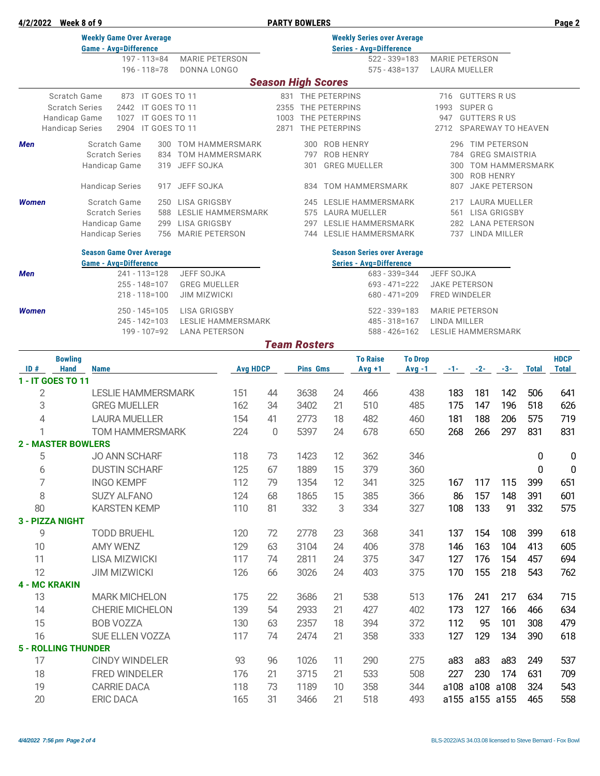|  | 4/2/2022 | Week 8 of 9 |  |
|--|----------|-------------|--|

**4/2022 PARTY BOWLERS PARTY BOWLERS Page 2** 

|                                         | <b>Weekly Game Over Average</b><br><b>Game - Avg=Difference</b> |               |                                              |                        |    |                             |                     |                           | <b>Weekly Series over Average</b><br><b>Series - Avg=Difference</b> |                   |                       |                    |                                            |              |              |
|-----------------------------------------|-----------------------------------------------------------------|---------------|----------------------------------------------|------------------------|----|-----------------------------|---------------------|---------------------------|---------------------------------------------------------------------|-------------------|-----------------------|--------------------|--------------------------------------------|--------------|--------------|
|                                         | $197 - 113 = 84$                                                |               | <b>MARIE PETERSON</b>                        |                        |    |                             |                     |                           |                                                                     | $522 - 339 = 183$ | <b>MARIE PETERSON</b> |                    |                                            |              |              |
|                                         | 196 - 118 = 78                                                  |               | DONNA LONGO                                  |                        |    |                             |                     |                           |                                                                     | $575 - 438 = 137$ | LAURA MUELLER         |                    |                                            |              |              |
|                                         |                                                                 |               |                                              |                        |    |                             |                     | <b>Season High Scores</b> |                                                                     |                   |                       |                    |                                            |              |              |
|                                         | Scratch Game<br>873 IT GOES TO 11                               |               |                                              |                        |    |                             |                     | 831 THE PETERPINS         |                                                                     |                   |                       | 716 GUTTERS R US   |                                            |              |              |
|                                         | <b>Scratch Series</b><br>2442                                   | IT GOES TO 11 |                                              |                        |    | 2355                        |                     | THE PETERPINS             |                                                                     |                   | 1993                  | <b>SUPER G</b>     |                                            |              |              |
| Handicap Game                           | 1027                                                            | IT GOES TO 11 |                                              |                        |    | 1003                        |                     | THE PETERPINS             |                                                                     |                   | 947                   | <b>GUTTERS RUS</b> |                                            |              |              |
| <b>Handicap Series</b>                  | 2904 IT GOES TO 11                                              |               |                                              |                        |    | 2871                        |                     | THE PETERPINS             |                                                                     |                   |                       |                    | 2712 SPAREWAY TO HEAVEN                    |              |              |
| Men                                     | Scratch Game                                                    | 300           |                                              | <b>TOM HAMMERSMARK</b> |    |                             | 300                 | ROB HENRY                 |                                                                     |                   | 296                   |                    | <b>TIM PETERSON</b>                        |              |              |
|                                         | <b>Scratch Series</b>                                           | 834           | JEFF SOJKA                                   | <b>TOM HAMMERSMARK</b> |    |                             | 797                 | <b>ROB HENRY</b>          |                                                                     |                   | 784<br>300            |                    | <b>GREG SMAISTRIA</b>                      |              |              |
|                                         | Handicap Game                                                   | 319           |                                              |                        |    |                             | 301                 |                           | <b>GREG MUELLER</b>                                                 |                   | 300                   |                    | <b>TOM HAMMERSMARK</b><br><b>ROB HENRY</b> |              |              |
|                                         | <b>Handicap Series</b>                                          | 917           | JEFF SOJKA                                   |                        |    |                             | 834                 |                           | TOM HAMMERSMARK                                                     |                   | 807                   |                    | <b>JAKE PETERSON</b>                       |              |              |
| <b>Women</b>                            | Scratch Game                                                    | 250           | LISA GRIGSBY                                 |                        |    |                             | 245                 |                           | LESLIE HAMMERSMARK                                                  |                   | 217                   |                    | LAURA MUELLER                              |              |              |
|                                         | <b>Scratch Series</b>                                           | 588           |                                              | LESLIE HAMMERSMARK     |    | 575<br><b>LAURA MUELLER</b> |                     |                           |                                                                     |                   | 561                   |                    | <b>LISA GRIGSBY</b>                        |              |              |
|                                         | Handicap Game                                                   | 299<br>756    | <b>LISA GRIGSBY</b><br><b>MARIE PETERSON</b> |                        |    |                             | 297                 |                           | LESLIE HAMMERSMARK<br>744 LESLIE HAMMERSMARK                        |                   | 282<br>737            |                    | <b>LANA PETERSON</b><br>LINDA MILLER       |              |              |
|                                         | <b>Handicap Series</b>                                          |               |                                              |                        |    |                             |                     |                           |                                                                     |                   |                       |                    |                                            |              |              |
|                                         | <b>Season Game Over Average</b>                                 |               |                                              |                        |    |                             |                     |                           | <b>Season Series over Average</b>                                   |                   |                       |                    |                                            |              |              |
| Men                                     | <b>Game - Avg=Difference</b><br>$241 - 113 = 128$               |               | <b>JEFF SOJKA</b>                            |                        |    |                             |                     |                           | <b>Series - Ava=Difference</b>                                      | 683 - 339 = 344   | JEFF SOJKA            |                    |                                            |              |              |
|                                         | $255 - 148 = 107$                                               |               | <b>GREG MUELLER</b>                          |                        |    |                             |                     |                           |                                                                     | $693 - 471 = 222$ | <b>JAKE PETERSON</b>  |                    |                                            |              |              |
|                                         | $218 - 118 = 100$                                               |               | <b>JIM MIZWICKI</b>                          |                        |    |                             |                     |                           |                                                                     | $680 - 471 = 209$ | FRED WINDELER         |                    |                                            |              |              |
| <b>Women</b>                            | 250 - 145=105                                                   |               | <b>LISA GRIGSBY</b>                          |                        |    |                             |                     |                           |                                                                     | $522 - 339 = 183$ | <b>MARIE PETERSON</b> |                    |                                            |              |              |
|                                         | 245 - 142=103                                                   |               |                                              | LESLIE HAMMERSMARK     |    |                             |                     |                           |                                                                     | $485 - 318 = 167$ | LINDA MILLER          |                    |                                            |              |              |
|                                         | 199 - 107=92                                                    |               | <b>LANA PETERSON</b>                         |                        |    |                             |                     |                           |                                                                     | $588 - 426 = 162$ | LESLIE HAMMERSMARK    |                    |                                            |              |              |
|                                         |                                                                 |               |                                              |                        |    |                             | <b>Team Rosters</b> |                           |                                                                     |                   |                       |                    |                                            |              |              |
| <b>Bowling</b>                          |                                                                 |               |                                              |                        |    |                             |                     |                           | <b>To Raise</b>                                                     | <b>To Drop</b>    |                       |                    |                                            |              | <b>HDCP</b>  |
| ID#<br><b>Hand</b><br>1 - IT GOES TO 11 | <b>Name</b>                                                     |               |                                              | <b>Avg HDCP</b>        |    |                             | <b>Pins Gms</b>     |                           | $Avg +1$                                                            | $Avg -1$          | $-1-$                 | $-2-$              | $-3-$                                      | <b>Total</b> | <b>Total</b> |
| $\mathbf{2}$                            | <b>LESLIE HAMMERSMARK</b>                                       |               |                                              | 151                    | 44 |                             | 3638                | 24                        | 466                                                                 | 438               | 183                   | 181                | 142                                        | 506          | 641          |
| 3                                       | <b>GREG MUELLER</b>                                             |               |                                              | 162                    | 34 |                             | 3402                | 21                        | 510                                                                 | 485               | 175                   | 147                | 196                                        | 518          | 626          |
| 4                                       | <b>LAURA MUELLER</b>                                            |               |                                              | 154                    | 41 |                             | 2773                | 18                        | 482                                                                 | 460               | 181                   | 188                | 206                                        | 575          | 719          |
| 1                                       | <b>TOM HAMMERSMARK</b>                                          |               |                                              | 224                    | 0  |                             | 5397                | 24                        | 678                                                                 | 650               | 268                   | 266                | 297                                        | 831          | 831          |
| <b>2 - MASTER BOWLERS</b>               |                                                                 |               |                                              |                        |    |                             |                     |                           |                                                                     |                   |                       |                    |                                            |              |              |
| 5                                       | <b>JO ANN SCHARF</b>                                            |               |                                              | 118                    | 73 |                             | 1423                | 12                        | 362                                                                 | 346               |                       |                    |                                            | 0            | 0            |
| 6                                       | <b>DUSTIN SCHARF</b>                                            |               |                                              | 125                    | 67 |                             | 1889                | 15                        | 379                                                                 | 360               |                       |                    |                                            | 0            | 0            |
| $\overline{7}$                          | <b>INGO KEMPF</b>                                               |               |                                              | 112                    | 79 |                             | 1354                | 12                        | 341                                                                 | 325               | 167                   | 117                | 115                                        | 399          | 651          |
| 8                                       | <b>SUZY ALFANO</b>                                              |               |                                              | 124                    | 68 |                             | 1865                | 15                        | 385                                                                 | 366               | 86                    | 157                | 148                                        | 391          | 601          |
| 80                                      | <b>KARSTEN KEMP</b>                                             |               |                                              | 110                    | 81 |                             | 332                 | 3                         | 334                                                                 | 327               | 108                   | 133                | 91                                         | 332          | 575          |
| 3 - PIZZA NIGHT                         |                                                                 |               |                                              |                        |    |                             |                     |                           |                                                                     |                   |                       |                    |                                            |              |              |
| 9                                       | <b>TODD BRUEHL</b>                                              |               |                                              | 120                    | 72 |                             | 2778                | 23                        | 368                                                                 | 341               | 137                   | 154                | 108                                        | 399          | 618          |
| 10                                      | AMY WENZ                                                        |               |                                              | 129                    | 63 |                             | 3104                | 24                        | 406                                                                 | 378               | 146                   | 163                | 104                                        | 413          | 605          |
| 11                                      | <b>LISA MIZWICKI</b>                                            |               |                                              | 117                    | 74 |                             | 2811                | 24                        | 375                                                                 | 347               | 127                   | 176                | 154                                        | 457          | 694          |
| 12                                      | <b>JIM MIZWICKI</b>                                             |               |                                              | 126                    | 66 |                             | 3026                | 24                        | 403                                                                 | 375               | 170                   | 155                | 218                                        | 543          | 762          |
| <b>4 - MC KRAKIN</b>                    |                                                                 |               |                                              |                        |    |                             |                     |                           |                                                                     |                   |                       |                    |                                            |              |              |
| 13                                      | <b>MARK MICHELON</b>                                            |               |                                              | 175                    | 22 |                             | 3686                | 21                        | 538                                                                 | 513               | 176                   | 241                | 217                                        | 634          | 715          |
| 14                                      | CHERIE MICHELON                                                 |               |                                              | 139                    | 54 |                             | 2933                | 21                        | 427                                                                 | 402               | 173                   | 127                | 166                                        | 466          | 634          |
| 15                                      | <b>BOB VOZZA</b>                                                |               |                                              | 130                    | 63 |                             | 2357                | 18                        | 394                                                                 | 372               | 112                   | 95                 | 101                                        | 308          | 479          |
| 16                                      | SUE ELLEN VOZZA                                                 |               |                                              | 117                    | 74 |                             | 2474                | 21                        | 358                                                                 | 333               | 127                   | 129                | 134                                        | 390          | 618          |
| <b>5 - ROLLING THUNDER</b>              |                                                                 |               |                                              |                        |    |                             |                     |                           |                                                                     |                   |                       |                    |                                            |              |              |
| 17                                      | <b>CINDY WINDELER</b>                                           |               |                                              | 93                     | 96 |                             | 1026                | 11                        | 290                                                                 | 275               | a83                   | a83                | a83                                        | 249          | 537          |
| 18                                      | FRED WINDELER                                                   |               |                                              | 176                    | 21 |                             | 3715                | 21                        | 533                                                                 | 508               | 227                   | 230                | 174                                        | 631          | 709          |
| 19                                      | <b>CARRIE DACA</b>                                              |               |                                              | 118                    | 73 |                             | 1189                | 10                        | 358                                                                 | 344               |                       | a108 a108 a108     |                                            | 324          | 543          |
| 20                                      | <b>ERIC DACA</b>                                                |               |                                              | 165                    | 31 |                             | 3466                | 21                        | 518                                                                 | 493               |                       | a155 a155 a155     |                                            | 465          | 558          |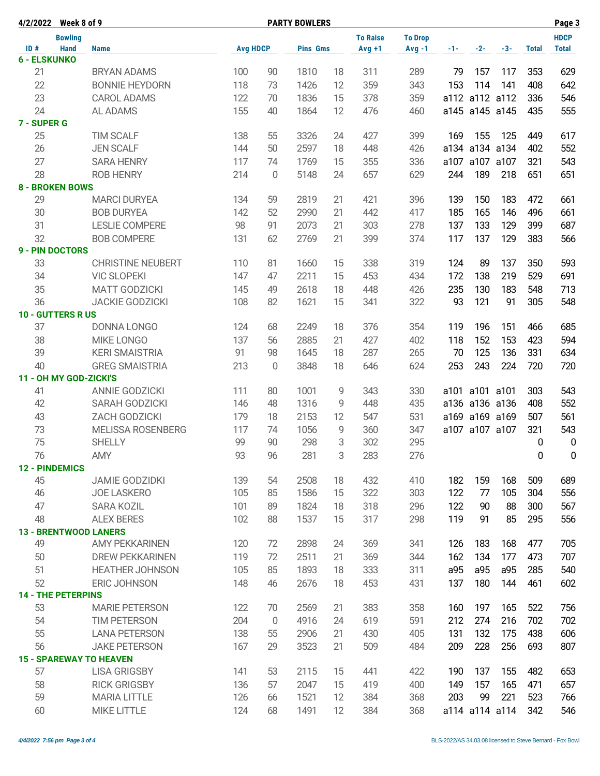| 4/2/2022 Week 8 of 9           |                          |                 | <b>PARTY BOWLERS</b> |                 | Page 3 |                 |                |          |                |                |              |                  |
|--------------------------------|--------------------------|-----------------|----------------------|-----------------|--------|-----------------|----------------|----------|----------------|----------------|--------------|------------------|
| <b>Bowling</b>                 |                          |                 |                      |                 |        | <b>To Raise</b> | <b>To Drop</b> |          |                |                |              | <b>HDCP</b>      |
| ID#<br><b>Hand</b>             | <b>Name</b>              | <b>Avg HDCP</b> |                      | <b>Pins Gms</b> |        | $Avg +1$        | $Avg -1$       | $-1 - 1$ | $-2-$          | $-3-$          | <b>Total</b> | <b>Total</b>     |
| <b>6 - ELSKUNKO</b>            |                          |                 |                      |                 |        |                 |                |          |                |                |              |                  |
| 21                             | <b>BRYAN ADAMS</b>       | 100             | 90                   | 1810            | 18     | 311             | 289            | 79       | 157            | 117            | 353          | 629              |
| 22                             | <b>BONNIE HEYDORN</b>    | 118             | 73                   | 1426            | 12     | 359             | 343            | 153      | 114            | 141            | 408          | 642              |
| 23                             | <b>CAROL ADAMS</b>       | 122             | 70                   | 1836            | 15     | 378             | 359            |          |                | a112 a112 a112 | 336          | 546              |
| 24                             | AL ADAMS                 | 155             | 40                   | 1864            | 12     | 476             | 460            |          |                | a145 a145 a145 | 435          | 555              |
| 7 - SUPER G                    |                          |                 |                      |                 |        |                 |                |          |                |                |              |                  |
| 25                             | <b>TIM SCALF</b>         | 138             | 55                   | 3326            | 24     | 427             | 399            | 169      | 155            | 125            | 449          | 617              |
| 26                             | <b>JEN SCALF</b>         | 144             | 50                   | 2597            | 18     | 448             | 426            |          |                | a134 a134 a134 | 402          | 552              |
| 27                             | <b>SARA HENRY</b>        | 117             | 74                   | 1769            | 15     | 355             | 336            |          | a107 a107 a107 |                | 321          | 543              |
| 28                             | <b>ROB HENRY</b>         | 214             | $\mathbf 0$          | 5148            | 24     | 657             | 629            | 244      | 189            | 218            | 651          | 651              |
| <b>8 - BROKEN BOWS</b>         |                          |                 |                      |                 |        |                 |                |          |                |                |              |                  |
| 29                             | <b>MARCI DURYEA</b>      | 134             | 59                   | 2819            | 21     | 421             | 396            | 139      | 150            | 183            | 472          | 661              |
| 30                             | <b>BOB DURYEA</b>        | 142             | 52                   | 2990            | 21     | 442             | 417            | 185      | 165            | 146            | 496          | 661              |
| 31                             | <b>LESLIE COMPERE</b>    | 98              | 91                   | 2073            | 21     | 303             | 278            | 137      | 133            | 129            | 399          | 687              |
| 32                             | <b>BOB COMPERE</b>       | 131             | 62                   | 2769            | 21     | 399             | 374            | 117      | 137            | 129            | 383          | 566              |
| <b>9 - PIN DOCTORS</b>         |                          |                 |                      |                 |        |                 |                |          |                |                |              |                  |
| 33                             | <b>CHRISTINE NEUBERT</b> | 110             | 81                   | 1660            | 15     | 338             | 319            | 124      | 89             | 137            | 350          | 593              |
| 34                             | <b>VIC SLOPEKI</b>       | 147             | 47                   | 2211            | 15     | 453             | 434            | 172      | 138            | 219            | 529          | 691              |
| 35                             | <b>MATT GODZICKI</b>     | 145             | 49                   | 2618            | 18     | 448             | 426            | 235      | 130            | 183            | 548          | 713              |
| 36                             | <b>JACKIE GODZICKI</b>   | 108             | 82                   | 1621            | 15     | 341             | 322            | 93       | 121            | 91             | 305          | 548              |
| <b>10 - GUTTERS R US</b>       |                          |                 |                      |                 |        |                 |                |          |                |                |              |                  |
| 37                             | DONNA LONGO              | 124             | 68                   | 2249            | 18     | 376             | 354            | 119      | 196            | 151            | 466          | 685              |
| 38                             | <b>MIKE LONGO</b>        | 137             | 56                   | 2885            | 21     | 427             | 402            | 118      | 152            | 153            | 423          | 594              |
| 39                             | <b>KERI SMAISTRIA</b>    | 91              | 98                   | 1645            | 18     | 287             | 265            | 70       | 125            | 136            | 331          | 634              |
| 40                             | <b>GREG SMAISTRIA</b>    | 213             | $\overline{0}$       | 3848            | 18     | 646             | 624            | 253      | 243            | 224            | 720          | 720              |
| 11 - OH MY GOD-ZICKI'S         |                          |                 |                      |                 |        |                 |                |          |                |                |              |                  |
| 41                             | <b>ANNIE GODZICKI</b>    | 111             | 80                   | 1001            | 9      | 343             | 330            |          | a101 a101 a101 |                | 303          | 543              |
| 42                             | SARAH GODZICKI           | 146             | 48                   | 1316            | 9      | 448             | 435            |          |                | a136 a136 a136 | 408          | 552              |
| 43                             | ZACH GODZICKI            | 179             | 18                   | 2153            | 12     | 547             | 531            |          |                | a169 a169 a169 | 507          | 561              |
| 73                             | <b>MELISSA ROSENBERG</b> | 117             | 74                   | 1056            | 9      | 360             | 347            |          | a107 a107 a107 |                | 321          | 543              |
| 75                             | <b>SHELLY</b>            | 99              | 90                   | 298             | 3      | 302             | 295            |          |                |                | 0            | $\mathbf 0$      |
| 76                             | <b>AMY</b>               | 93              | 96                   | 281             | 3      | 283             | 276            |          |                |                | 0            | $\boldsymbol{0}$ |
| <b>12 - PINDEMICS</b>          |                          |                 |                      |                 |        |                 |                |          |                |                |              |                  |
| 45                             | <b>JAMIE GODZIDKI</b>    | 139             | 54                   | 2508            | 18     | 432             | 410            | 182      | 159            | 168            | 509          | 689              |
| 46                             | <b>JOE LASKERO</b>       | 105             | 85                   | 1586            | 15     | 322             | 303            | 122      | 77             | 105            | 304          | 556              |
| 47                             | <b>SARA KOZIL</b>        | 101             | 89                   | 1824            | 18     | 318             | 296            | 122      | 90             | 88             | 300          | 567              |
| 48                             | <b>ALEX BERES</b>        | 102             | 88                   | 1537            | 15     | 317             | 298            | 119      | 91             | 85             | 295          | 556              |
| <b>13 - BRENTWOOD LANERS</b>   |                          |                 |                      |                 |        |                 |                |          |                |                |              |                  |
| 49                             | <b>AMY PEKKARINEN</b>    | 120             | 72                   | 2898            | 24     | 369             | 341            | 126      | 183            | 168            | 477          | 705              |
| 50                             | <b>DREW PEKKARINEN</b>   | 119             | 72                   | 2511            | 21     | 369             | 344            | 162      | 134            | 177            | 473          | 707              |
| 51                             | <b>HEATHER JOHNSON</b>   | 105             | 85                   | 1893            | 18     | 333             | 311            | a95      | a95            | a95            | 285          | 540              |
| 52                             |                          |                 |                      |                 |        |                 |                |          | 180            |                | 461          |                  |
| <b>14 - THE PETERPINS</b>      | ERIC JOHNSON             | 148             | 46                   | 2676            | 18     | 453             | 431            | 137      |                | 144            |              | 602              |
| 53                             | <b>MARIE PETERSON</b>    | 122             | 70                   | 2569            | 21     | 383             | 358            | 160      | 197            | 165            | 522          | 756              |
| 54                             |                          | 204             |                      | 4916            |        |                 |                |          |                |                |              | 702              |
|                                | TIM PETERSON             |                 | $\overline{0}$       |                 | 24     | 619             | 591            | 212      | 274            | 216            | 702          |                  |
| 55                             | <b>LANA PETERSON</b>     | 138             | 55                   | 2906            | 21     | 430             | 405            | 131      | 132            | 175            | 438          | 606              |
| 56                             | <b>JAKE PETERSON</b>     | 167             | 29                   | 3523            | 21     | 509             | 484            | 209      | 228            | 256            | 693          | 807              |
| <b>15 - SPAREWAY TO HEAVEN</b> |                          |                 |                      |                 |        |                 |                |          |                |                |              |                  |
| 57                             | <b>LISA GRIGSBY</b>      | 141             | 53                   | 2115            | 15     | 441             | 422            | 190      | 137            | 155            | 482          | 653              |
| 58                             | <b>RICK GRIGSBY</b>      | 136             | 57                   | 2047            | 15     | 419             | 400            | 149      | 157            | 165            | 471          | 657              |
| 59                             | <b>MARIA LITTLE</b>      | 126             | 66                   | 1521            | 12     | 384             | 368            | 203      | 99             | 221            | 523          | 766              |
| 60                             | <b>MIKE LITTLE</b>       | 124             | 68                   | 1491            | 12     | 384             | 368            |          |                | a114 a114 a114 | 342          | 546              |